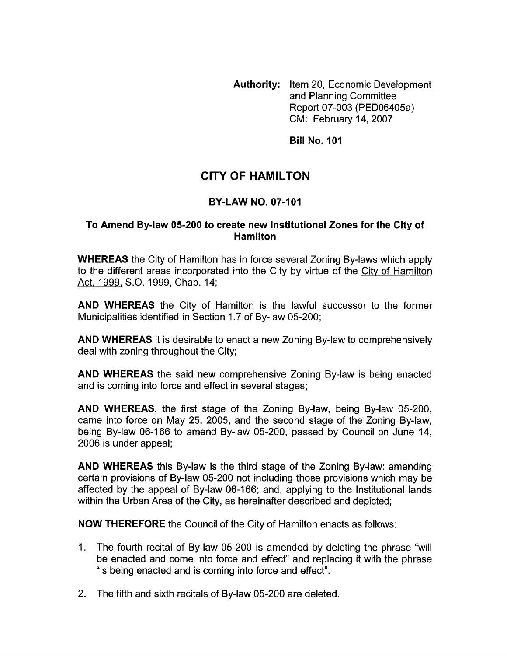**Authority:** Item 20, Economic Development and Planning Committee Report 07-003 (PED06405a) CM: February 14,2007

**Bill No. 101** 

# **CITY OF HAMILTON**

## **BY-LAW NO. 07-101**

#### **To Amend By-law 05-200 to create new Institutional Zones for the City of Hamilton**

**WHEREAS** the City of Hamilton has in force several Zoning By-laws which apply to the different areas incorporated into the City by virtue of the City of Hamilton Act, 1999, S.O. 1999, Chap. 14;

**AND WHEREAS** the City of Hamilton is the lawful successor to the former Municipalities identified in Section 1.7 of By-law 05-200;

**AND WHEREAS** it is desirable to enact a new Zoning By-law to comprehensively deal with zoning throughout the City;

**AND WHEREAS** the said new comprehensive Zoning By-law is being enacted and is coming into force and effect in several stages;

**AND WHEREAS,** the first stage of the Zoning By-law, being By-law 05-200, came into force on May 25, 2005, and the second stage of the Zoning By-law, being By-law 06-166 to amend By-law 05-200, passed by Council on June 14, 2006 is under appeal;

**AND WHEREAS** this By-law is the third stage of the Zoning By-law: amending certain provisions of By-law 05-200 not including those provisions which may be affected by the appeal of By-law 06-166; and, applying to the Institutional lands within the Urban Area of the City, as hereinafter described and depicted;

**NOW THEREFORE** the Council of the City of Hamilton enacts as follows:

- 1. The fourth recital of By-law 05-200 is amended by deleting the phrase "will be enacted and come into force and effect" and replacing it with the phrase "is being enacted and is coming into force and effect".
- 2. The fifth and sixth recitals of By-law 05-200 are deleted.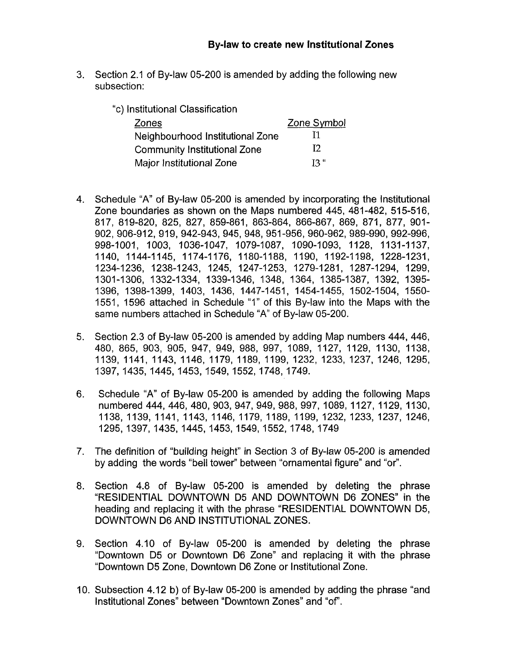- 3. Section 2.1 of By-law 05-200 is amended by adding the following new subsection:
	- "c) Institutional Classification

| Zones                               | Zone Symbol |
|-------------------------------------|-------------|
| Neighbourhood Institutional Zone    | -11         |
| <b>Community Institutional Zone</b> | 12          |
| Major Institutional Zone            | 13"         |

- 4. Schedule "A" of By-law 05-200 is amended by incorporating the Institutional Zone boundaries as shown on the Maps numbered 445, 481-482, 515-516, 817, 819-820, 825, 827, 859-861, 863-864, 866-867, 869, 871, 877, 901- 902, 906-912, 919, 942-943, 945, 948, 951-956, 960-962, 989-990, 992-996, 998-1001, 1003, 1036-1047, 1079-1087, 1090-1093, 1128, 1131-1137, 1140, 11 44-1 145, 11 74-1 176, 1180-1 188, 1190, 1192-1 198, 1228-1231, 1234-1236, 1238-1243, 1245, 1247-1253, 1279-1281, 1287-1294, 1299, 1301-1306, 1332-1334, 1339-1346, 1348, 1364, 1385-1387, 1392, 1395-1396, 1398-1399, 1403, 1436, 1447-1451, 1454-1455, 1502-1504, 1550-1551, 1596 attached in Schedule "1" of this By-law into the Maps with the same numbers attached in Schedule "A" of By-law 05-200.
- 5. Section 2.3 of By-law 05-200 is amended by adding Map numbers 444, 446, 480, 865, 903, 905, 947, 949, 988, 997, 1089, 1127, 1129, 1130, 1138, 1139, 1141, 1143, 1146, 1179, 1189, 1199, 1232, 1233, 1237, 1246, 1295, 1397,1435,1445,1453, q549,1552,1748,1749.
- 6. Schedule "A" of By-law 05-200 is amended by adding the following Maps numbered 444, 446, 480, 903, 947, 949, 988, 997, 1089, 1127, 1129, 1130, 1138, 1139, 1141, 1143, 1146, 1179, 1189, 1199, 1232, 1233, 1237, 1246, 1295,1397,1435,1445,1453,1549,1552,1748,1749
- 7. The definition of "building height" in Section 3 of By-law 05-200 is amended by adding the words "bell tower" between "ornamental figure" and "or".
- 8. Section 4.8 of By-law 05-200 is amended by deleting the phrase "RESIDENTIAL DOWNTOWN D5 AND DOWNTOWN D6 ZONES" in the heading and replacing it with the phrase "RESIDENTIAL DOWNTOWN D5, DOWNTOWN D6 AND INSTITUTIONAL ZONES.
- 9. Section 4.10 of By-law 05-200 is amended by deleting the phrase "Downtown D5 or Downtown D6 Zone" and replacing it with the phrase "Downtown D5 Zone, Downtown D6 Zone or Institutional Zone.
- 10. Subsection 4.12 **b)** of By-law 05-200 is amended by adding the phrase "and Institutional Zones" between "Downtown Zones" and "of'.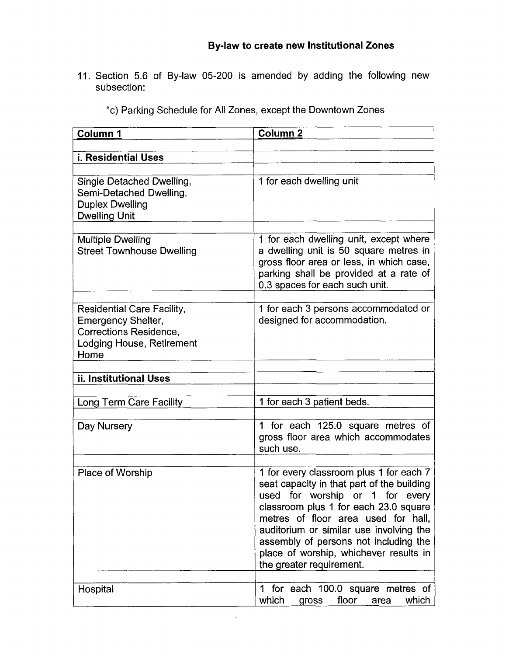11. Section 5.6 of By-law 05-200 is amended by adding the following new subsection:

| Column 1                                                                                                                      | <b>Column 2</b>                                                                                                                                                                                                                                                                                                                                                    |
|-------------------------------------------------------------------------------------------------------------------------------|--------------------------------------------------------------------------------------------------------------------------------------------------------------------------------------------------------------------------------------------------------------------------------------------------------------------------------------------------------------------|
|                                                                                                                               |                                                                                                                                                                                                                                                                                                                                                                    |
| <b>i. Residential Uses</b>                                                                                                    |                                                                                                                                                                                                                                                                                                                                                                    |
| Single Detached Dwelling,<br>Semi-Detached Dwelling,<br><b>Duplex Dwelling</b><br><b>Dwelling Unit</b>                        | 1 for each dwelling unit                                                                                                                                                                                                                                                                                                                                           |
| <b>Multiple Dwelling</b><br><b>Street Townhouse Dwelling</b>                                                                  | 1 for each dwelling unit, except where<br>a dwelling unit is 50 square metres in<br>gross floor area or less, in which case,<br>parking shall be provided at a rate of<br>0.3 spaces for each such unit.                                                                                                                                                           |
| Residential Care Facility,<br><b>Emergency Shelter,</b><br><b>Corrections Residence,</b><br>Lodging House, Retirement<br>Home | 1 for each 3 persons accommodated or<br>designed for accommodation.                                                                                                                                                                                                                                                                                                |
|                                                                                                                               |                                                                                                                                                                                                                                                                                                                                                                    |
| ii. Institutional Uses                                                                                                        |                                                                                                                                                                                                                                                                                                                                                                    |
| Long Term Care Facility                                                                                                       | 1 for each 3 patient beds.                                                                                                                                                                                                                                                                                                                                         |
|                                                                                                                               |                                                                                                                                                                                                                                                                                                                                                                    |
| Day Nursery                                                                                                                   | 1 for each 125.0 square metres of<br>gross floor area which accommodates<br>such use.                                                                                                                                                                                                                                                                              |
| Place of Worship                                                                                                              | 1 for every classroom plus 1 for each 7<br>seat capacity in that part of the building<br>used for worship or 1 for every<br>classroom plus 1 for each 23.0 square<br>metres of floor area used for hall,<br>auditorium or similar use involving the<br>assembly of persons not including the<br>place of worship, whichever results in<br>the greater requirement. |
| Hospital                                                                                                                      | for each 100.0 square metres of<br>1.<br>which<br>floor<br>which<br>gross<br>area                                                                                                                                                                                                                                                                                  |

 $\bar{\mathbf{r}}$ 

"c) Parking Schedule for **All** Zones, except the Downtown Zones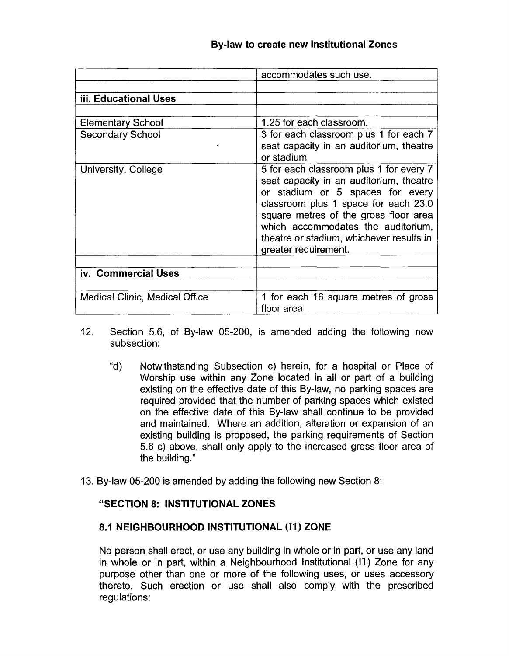|                                | accommodates such use.                                                                                                                                                                                                                                                                                            |
|--------------------------------|-------------------------------------------------------------------------------------------------------------------------------------------------------------------------------------------------------------------------------------------------------------------------------------------------------------------|
|                                |                                                                                                                                                                                                                                                                                                                   |
| iii. Educational Uses          |                                                                                                                                                                                                                                                                                                                   |
|                                |                                                                                                                                                                                                                                                                                                                   |
| <b>Elementary School</b>       | 1.25 for each classroom.                                                                                                                                                                                                                                                                                          |
| <b>Secondary School</b>        | 3 for each classroom plus 1 for each 7<br>seat capacity in an auditorium, theatre<br>or stadium                                                                                                                                                                                                                   |
| University, College            | 5 for each classroom plus 1 for every 7<br>seat capacity in an auditorium, theatre<br>or stadium or 5 spaces for every<br>classroom plus 1 space for each 23.0<br>square metres of the gross floor area<br>which accommodates the auditorium,<br>theatre or stadium, whichever results in<br>greater requirement. |
| iv. Commercial Uses            |                                                                                                                                                                                                                                                                                                                   |
|                                |                                                                                                                                                                                                                                                                                                                   |
| Medical Clinic, Medical Office | 1 for each 16 square metres of gross<br>floor area                                                                                                                                                                                                                                                                |

- 12. Section 5.6, of By-law 05-200, is amended adding the following new subsection:
	- "d) Notwithstanding Subsection c) herein, for a hospital or Place of Worship use within any Zone located in all or part of a building existing on the effective date of this By-law, no parking spaces are required provided that the number of parking spaces which existed on the effective date of this By-law shall continue to be provided and maintained. Where an addition, alteration or expansion of an existing building is proposed, the parking requirements of Section 5.6 c) above, shall only apply to the increased gross floor area of the building."
- 13. By-law 05-200 is amended by adding the following new Section 8:

# **"SECTION 8: INSTITUTIONAL ZONES**

# **8.1 NEIGHBOURHOOD INSTITUTIONAL (11) ZONE**

No person shall erect, or use any building in whole or in part, or use any land in whole or in part, within a Neighbourhood Institutional (11) Zone for any purpose other than one or more of the following uses, or uses accessory thereto. Such erection or use shall also comply with the prescribed regulations: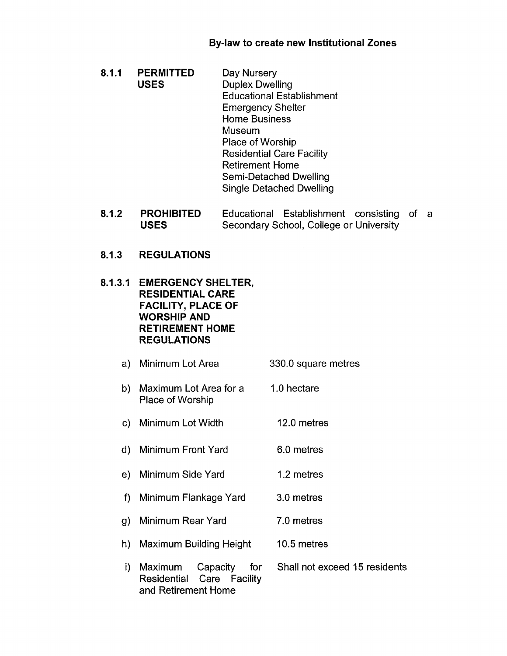- $8.1.1$ **PERMITTED** Day Nursery USES Duplex Dwelling Educational Establishment Emergency Shelter Home Business Museum Place of Worship Residential Care Facility Retirement Home Semi-Detached Dwelling Single Detached Dwelling
- $8.1.2$ **PROHIBITED** Educational Establishment consisting of a **USES** Secondary School, College or University
- $8.1.3$ **REGULATIONS**
- **EMERGENCY SHELTER, RESIDENTIAL CARE FACILITY, PLACE OF WORSHIP AND RETIREMENT HOME REGULATIONS** 
	- Minimum Lot Area 330.0 square metres
	- b) Maximum Lot Area for a Place of Worship 1.0 hectare
	- Minimum Lot Width 12.0 metres
	- Minimum Front Yard 6.0 metres
	- Minimum Side Yard 1.2 metres
	- Minimum Flankage Yard 3.0 metres
	- Minimum Rear Yard 7.0 metres
	- h) Maximum Building Height 10.5 metres
	- i) Maximum Capacity for Shall not exceed 15 residents Residential Care Facility and Retirement Home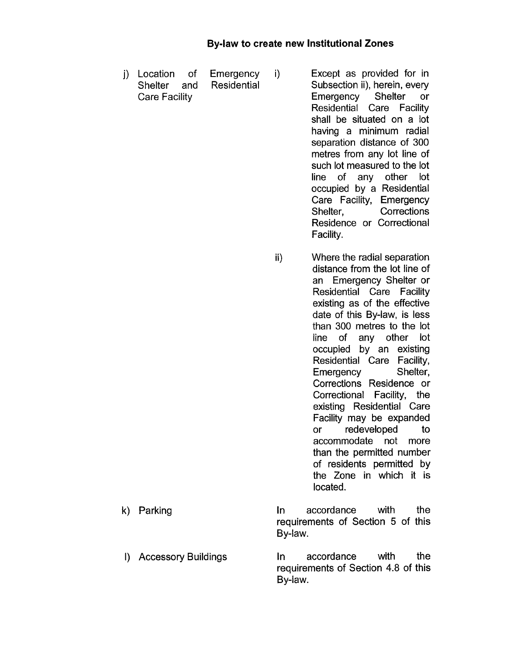j) Location of Emergency i) Except as provided for in Shelter and Residential Subsection ii), herein, every Care Facility Emergency Shelter or

Residential Care Facility shall be situated on a lot having a minimum radial separation distance of 300 metres from any lot line of such lot measured to the lot line of any other lot occupied by a Residential Care Facility, Emergency Shelter, Corrections Residence or Correctional Facility.

- ii) Where the radial separation distance from the lot line of an Emergency Shelter or Residential Care Facility existing as of the effective date of this By-law, is less than 300 metres to the lot line of any other lot occupied by an existing Residential Care Facility, Emergency Shelter, Corrections Residence or Correctional Facility, the existing Residential Care Facility may be expanded or redeveloped to accommodate not more than the permitted number of residents permitted by the Zone in which it is located.
- k) Parking **In** accordance with the requirements of Section 5 of this By-law.
- I) Accessory Buildings in accordance with the requirements of Section 4.8 of this

By-law.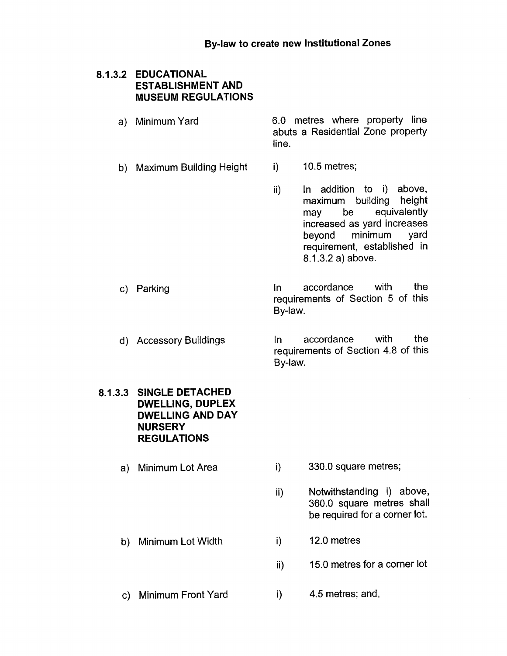#### **EDUCATIONAL ESTABLISHMENT AND MUSEUM REGULATIONS**

- Minimum Yard 6.0 metres where property line abuts a Residential Zone property line.
- b) Maximum Building Height i) 10.5 metres;
	- ii) In addition to i) above, maximum building height may be equivalently increased as yard increases beyond minimum yard requirement, established in 8.1.3.2 a) above.

In accordance with the requirements of Section 5 *of* this By-law.

d) Accessory Buildings In accordance with the requirements of Section 4.8 *of* this By-law.

#### **8.1.3.3 SINGLE DETACHED DWELLING, DUPLEX DWELLING AND DAY NURSERY REGULATIONS**

a) Minimum Lot Area

c) Parking

- $(i)$  330.0 square metres;
- ii) Notwithstanding i) above, 360.0 square metres shall be required for a corner lot.
- b) Minimum Lot Width i) 12.0 metres
	- $ii$  15.0 metres for a corner lot
- c) Minimum Front Yard i) 4.5 metres; and,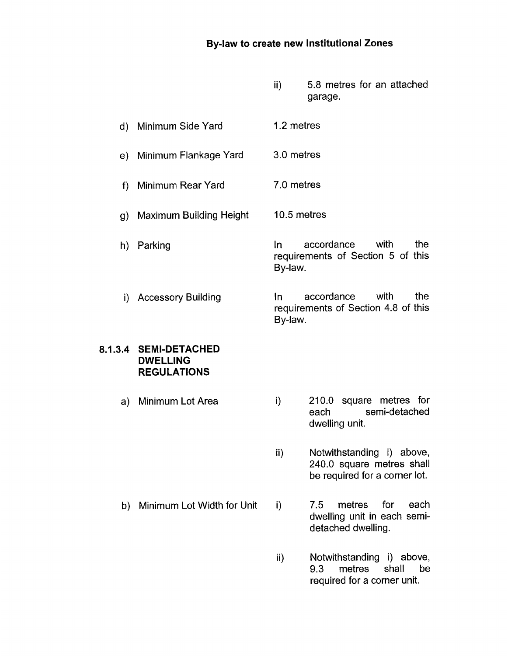- ii) 5.8 metres for an attached garage.
- d) Minimum Side Yard 1.2 metres
- e) Minimum Flankage Yard 3.0 metres
- f) Minimum Rear Yard 7.0 metres
- g) Maximum Building Height 10.5 metres
- h) Parking In accordance with the requirements of Section 5 of this By-law.
- i) Accessory Building In accordance with the requirements of Section 4.8 of this By-law.

#### **8.1.3.4 SEMI-DETACHED DWELL1 NG REGULATIONS**

- a) Minimum Lot Area i) 210.0 square metres for each semi-detached dwelling unit.
	- ii) Notwithstanding i) above, 240.0 square metres shall be required for a corner lot.
- 
- b) Minimum Lot Width for Unit i) 7.5 metres for each dwelling unit in each semidetached dwelling.
	- ii) Notwithstanding i) above, 9.3 metres shall be required for a corner unit.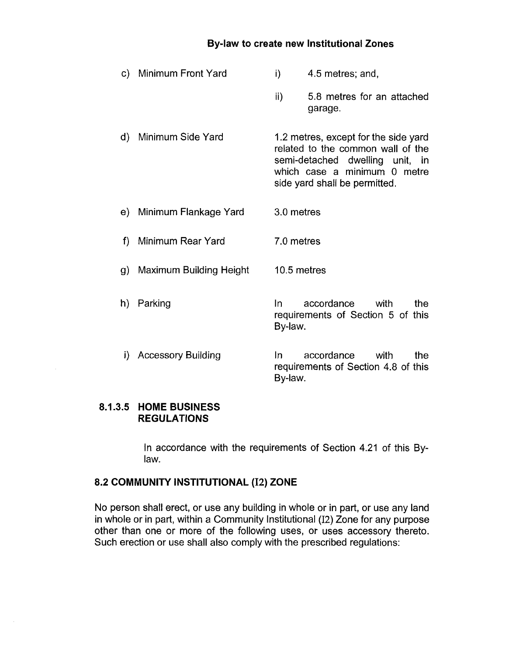- c) Minimum Front Yard d) Minimum Side Yard e) Minimum Flankage Yard f) Minimum Rear Yard g) Maximum Building Height h) Parking i) 4.5 metres; and, ii) 5.8 metres for an attached garage. 1.2 metres, except for the side yard related to the common wall of the semi-detached dwelling unit, in which case a minimum 0 metre side yard shall be permitted. 3.0 metres 7.0 metres 10.5 metres In accordance with the requirements of Section 5 of this By-law.
	- i) Accessory Building In accordance with the requirements of Section 4.8 of this By-law.

#### **8.1.3.5 HOME BUSINESS REGULATIONS**

In accordance with the requirements of Section 4.21 of this Bylaw.

# **8.2 COMMUNITY INSTITUTIONAL (12) ZONE**

No person shall erect, or use any building in whole or in part, or use any land in whole or in part, within a Community Institutional (12) Zone for any purpose other than one or more of the following uses, or uses accessory thereto. Such erection or use shall also comply with the prescribed regulations: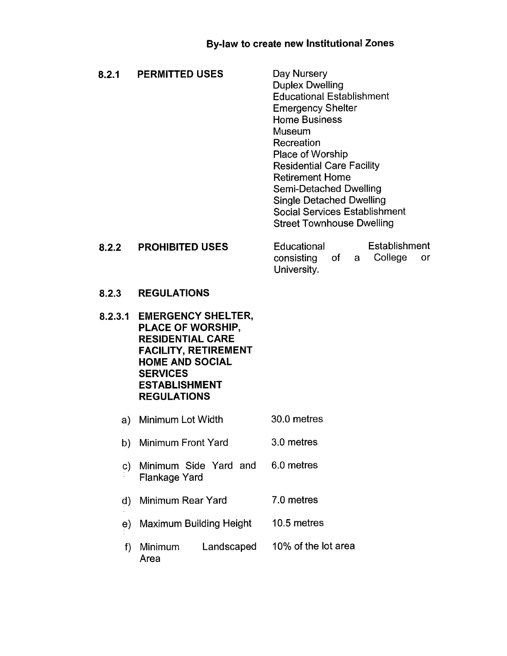| 8.2.1   | <b>PERMITTED USES</b>                                                                                                                                                                               | Day Nursery<br><b>Duplex Dwelling</b><br><b>Educational Establishment</b><br><b>Emergency Shelter</b><br><b>Home Business</b><br>Museum<br>Recreation<br>Place of Worship<br><b>Residential Care Facility</b><br><b>Retirement Home</b><br>Semi-Detached Dwelling<br><b>Single Detached Dwelling</b><br><b>Social Services Establishment</b><br><b>Street Townhouse Dwelling</b> |  |
|---------|-----------------------------------------------------------------------------------------------------------------------------------------------------------------------------------------------------|----------------------------------------------------------------------------------------------------------------------------------------------------------------------------------------------------------------------------------------------------------------------------------------------------------------------------------------------------------------------------------|--|
| 8.2.2   | <b>PROHIBITED USES</b>                                                                                                                                                                              | Establishment<br>Educational<br>College<br>consisting<br>of a<br>or<br>University.                                                                                                                                                                                                                                                                                               |  |
| 8.2.3   | <b>REGULATIONS</b>                                                                                                                                                                                  |                                                                                                                                                                                                                                                                                                                                                                                  |  |
| 8.2.3.1 | <b>EMERGENCY SHELTER,</b><br>PLACE OF WORSHIP,<br><b>RESIDENTIAL CARE</b><br><b>FACILITY, RETIREMENT</b><br><b>HOME AND SOCIAL</b><br><b>SERVICES</b><br><b>ESTABLISHMENT</b><br><b>REGULATIONS</b> |                                                                                                                                                                                                                                                                                                                                                                                  |  |
| a)      | Minimum Lot Width                                                                                                                                                                                   | 30.0 metres                                                                                                                                                                                                                                                                                                                                                                      |  |
| b)      | Minimum Front Yard                                                                                                                                                                                  | 3.0 metres                                                                                                                                                                                                                                                                                                                                                                       |  |
| C)      | Minimum Side Yard and<br>Flankage Yard                                                                                                                                                              | 6.0 metres                                                                                                                                                                                                                                                                                                                                                                       |  |
| d)      | Minimum Rear Yard                                                                                                                                                                                   | 7.0 metres                                                                                                                                                                                                                                                                                                                                                                       |  |
| e)      | <b>Maximum Building Height</b>                                                                                                                                                                      | 10.5 metres                                                                                                                                                                                                                                                                                                                                                                      |  |
| f)      | Landscaped<br>Minimum<br>Area                                                                                                                                                                       | 10% of the lot area                                                                                                                                                                                                                                                                                                                                                              |  |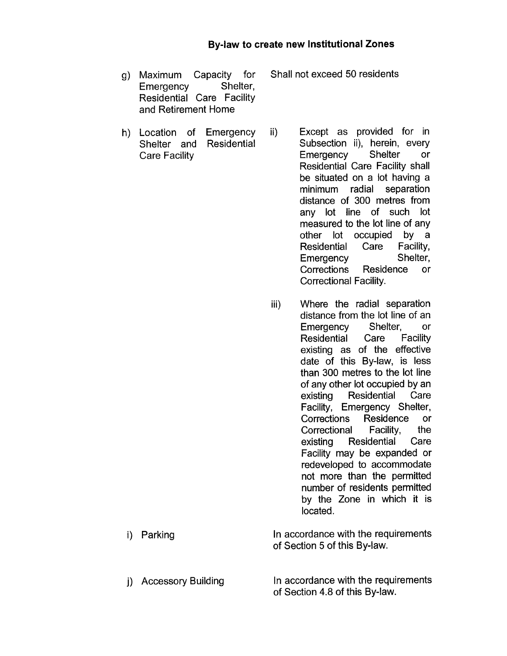g) Maximum Capacity for Shall not exceed 50 residents Emergency Shelter, Residential Care Facility and Retirement Home

- h) Location of Emergency ii) Except as provided for in Shelter and Residential Subsection ii), herein, every Care Facility Emergency Shelter or Residential Care Facility shall be situated on a lot having a minimum radial separation distance of 300 metres from any lot line of such lot measured to the lot line of any other lot occupied by a Residential Care Facility, Emergency Shelter, Corrections Residence or Correctional Facility.
	- iii) Where the radial separation distance from the lot line of an Emergency Shelter, or Residential Care Facility existing as of the effective date of this By-law, is less than 300 metres to the lot line of any other lot occupied by an existing Residential Care Facility, Emergency Shelter, Corrections Residence or<br>Correctional Facility, the Correctional Facility, the existing Residential Care Facility may be expanded or redeveloped to accommodate not more than the permitted number of residents permitted by the Zone in which it is located.

i) Parking In accordance with the requirements of Section 5 of this By-law.

j) Accessory Building In accordance with the requirements of Section 4.8 of this By-law.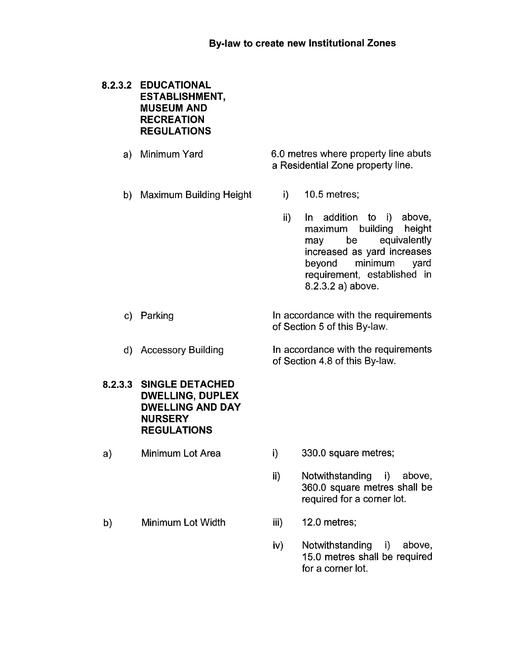## **EDUCATIONAL ESTABLISHMENT, MUSEUM AND RECREATION REGULATIONS**

Minimum Yard

6.0 metres where property line abuts a Residential Zone property line.

Maximum Building Height

i) 10.5 metres;

ii) In addition to i) above, maximum building height may be equivalently increased as yard increases beyond minimum yard requirement, established in 8.2.3.2 a) above.

In accordance with the requirements of Section 5 of this By-law.

In accordance with the requirements of Section 4.8 of this By-law.

**SINGLE DETACHED DWELLING, DUPLEX DWELLING AND DAY NURSERY REGULATIONS** 

d) Accessory Building

a) Minimum Lot Area

c) Parking

- i) 330.0 square metres;
- ii) Notwithstanding i) above, 360.0 square metres shall be required for a corner lot.
- b) Minimum Lot Width iii) 12.0 metres;
- - iv) Notwithstanding i) above, 15.0 metres shall be required for a corner lot.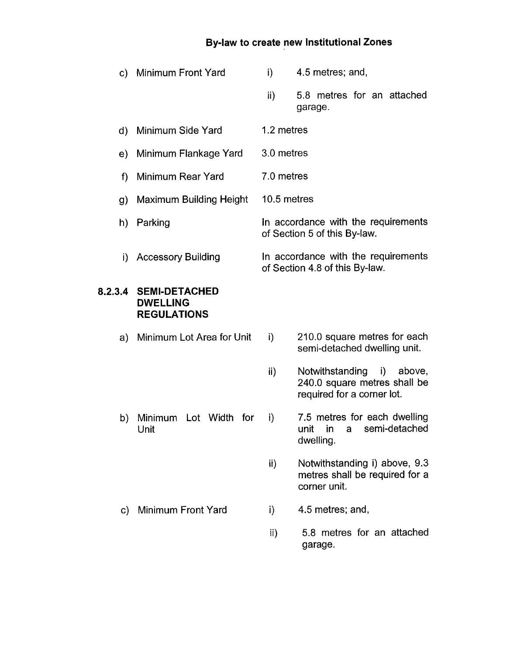| C)      | Minimum Front Yard                                            | i)            | 4.5 metres; and,                                                                           |
|---------|---------------------------------------------------------------|---------------|--------------------------------------------------------------------------------------------|
|         |                                                               | $\mathsf{ii}$ | 5.8 metres for an attached<br>garage.                                                      |
| d)      | Minimum Side Yard                                             | 1.2 metres    |                                                                                            |
| e)      | Minimum Flankage Yard                                         | 3.0 metres    |                                                                                            |
| f)      | Minimum Rear Yard                                             | 7.0 metres    |                                                                                            |
| g)      | <b>Maximum Building Height</b>                                | 10.5 metres   |                                                                                            |
|         | h) Parking                                                    |               | In accordance with the requirements<br>of Section 5 of this By-law.                        |
| i).     | <b>Accessory Building</b>                                     |               | In accordance with the requirements<br>of Section 4.8 of this By-law.                      |
| 8.2.3.4 | <b>SEMI-DETACHED</b><br><b>DWELLING</b><br><b>REGULATIONS</b> |               |                                                                                            |
| a)      | Minimum Lot Area for Unit                                     | i)            | 210.0 square metres for each<br>semi-detached dwelling unit.                               |
|         |                                                               | $\mathbf{ii}$ | Notwithstanding<br>i) above,<br>240.0 square metres shall be<br>required for a corner lot. |
| b)      | Minimum Lot Width<br>for<br>Unit                              | i)            | 7.5 metres for each dwelling<br>semi-detached<br>in<br>unit<br>a<br>dwelling.              |
|         |                                                               | ii)           | Notwithstanding i) above, 9.3<br>metres shall be required for a<br>corner unit.            |
| C)      | <b>Minimum Front Yard</b>                                     | i)            | 4.5 metres; and,                                                                           |

 $\mathsf{ii}$ 5.8 metres for an attached garage.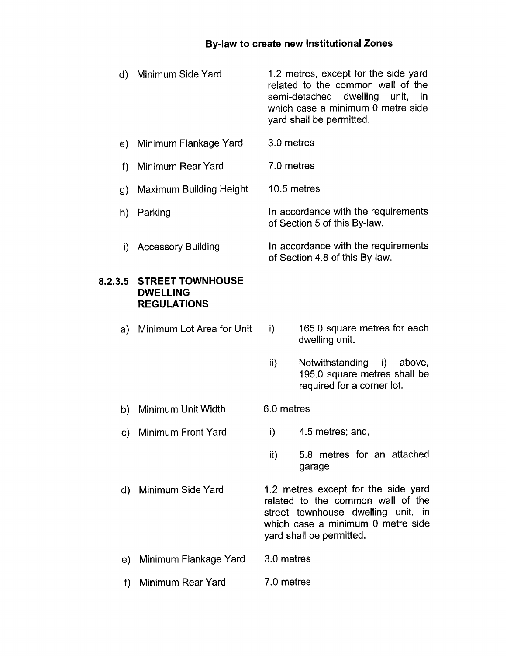- d) Minimum Side Yard 1.2 metres, except for the side yard related to the common wall of the semi-detached dwelling unit, in which case a minimum 0 metre side yard shall be permitted.
- e) Minimum Flankage Yard 3.0 metres
- f) Minimum Rear Yard 7.0 metres
- g) Maximum Building Height 10.5 metres
- h) Parking In accordance with the requirements of Section 5 of this By-law.
- i) Accessory Building In accordance with the requirements of Section 4.8 of this By-law.

#### **8.2.3.5 STREETTOWNHOUSE DWELLING REGULATIONS**

- a) Minimum Lot Area for Unit i) 165.0 square metres for each dwelling unit.
	- ii) Notwithstanding i) above, 195.0 square metres shall be

required for a corner lot.

- b) Minimum Unit Width 6.0 metres
- c) Minimum Front Yard i) 4.5 metres; and,
	- ii) 5.8 metres for an attached garage.
- d) Minimum Side Yard 1.2 metres except for the side yard related to the common wall of the street townhouse dwelling unit, in which case a minimum 0 metre side yard shall be permitted.
- e) Minimum Flankage Yard 3.0 metres
- f) Minimum Rear Yard 7.0 metres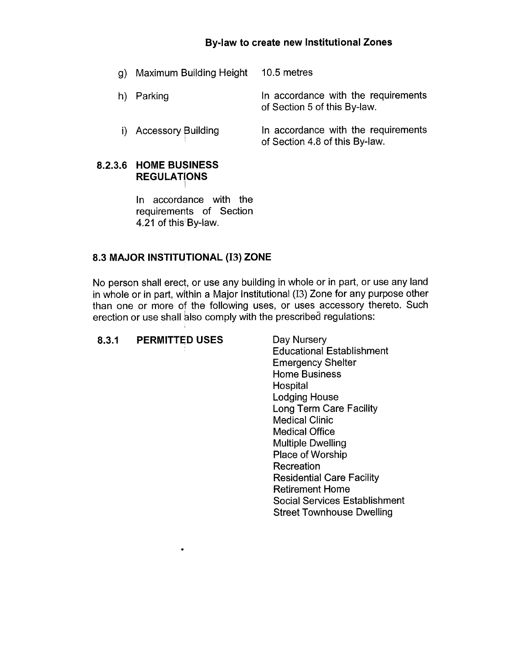| g) Maximum Building Height | 10.5 metres                                                           |
|----------------------------|-----------------------------------------------------------------------|
| h) Parking                 | In accordance with the requirements<br>of Section 5 of this By-law.   |
| i) Accessory Building      | In accordance with the requirements<br>of Section 4.8 of this By-law. |

# **8.2.3.6 HOME BUSINESS REGULATlONS**

In accordance with the requirements of Section 4.21 of this' By-law.

## **8.3 MAJOR INSTITUTIONAL (13) ZONE**

 $\bullet$ 

No person shall erect, or use any building in whole or in part, or use any land in whole or in part, within a Major Institutional (13) Zone for any purpose other than one or more of the following uses, or uses accessory thereto. Such erection or use shall also comply with the prescribed regulations:

# 8.3.1 **PERMITTED USES** Day Nursery

Educational Establishment Emergency Shelter Home Business Hospital Lodging House Long Term Care Facility Medical Clinic Medical Office Multiple Dwelling Place of Worship Recreation Residential Care Facility Retirement Home Social Services Establishment Street Townhouse Dwelling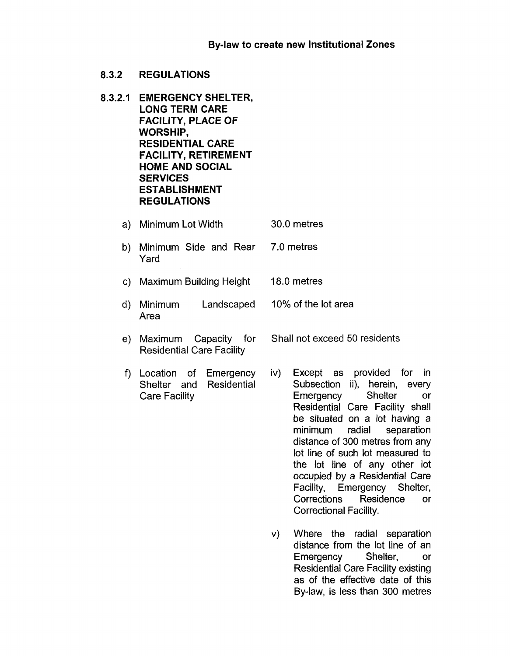- 8.3.2 REGULATIONS
- **8.3.2.1 EMERGENCY SHELTER, LONG TERM CARE FACILITY, PLACE OF WORSHIP, RESIDENTIAL CARE FACILITY, RETIREMENT HOME AND SOCIAL SERVICES ESTABLISHMENT REGULATIONS** 
	- a) Minimum Lot Width 30.0 metres
	- b) Minimum Side and Rear Yard 7.0 metres
	- c) Maximum Building Height 18.0 metres
	- d) Minimum Landscaped Area 10% of the lot area
	- e) Maximum Capacity for Residential Care Facility
	- f) Location of Emergency Shelter and Residential Care Facility
- iv) Except as provided for in Subsection ii), herein, every Emergency Shelter or Residential Care Facility shall be situated on a lot having a minimum radial separation distance of 300 metres from any lot line of such lot measured to the lot line of any other lot occupied by a Residential Care Facility, Emergency Shelter, Corrections Residence or Correctional Facility.

Shall not exceed 50 residents

v) Where the radial separation distance from the lot line of an Emergency Shelter, or Residential Care Facility existing as of the effective date of this By-law, is less than 300 metres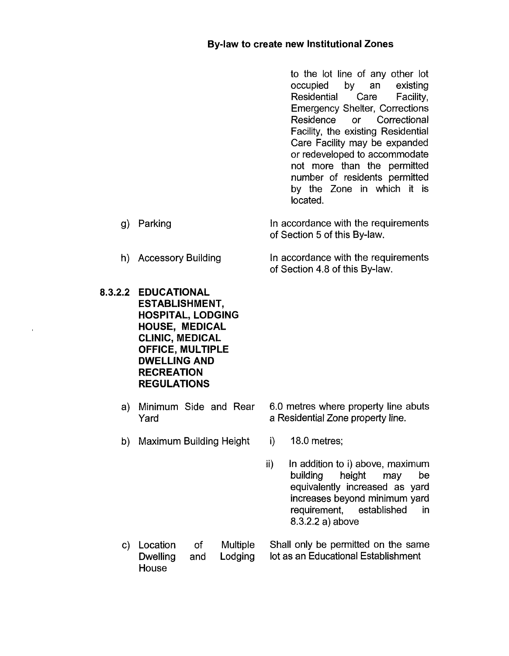to the lot line of any other lot occupied by an existing Residential Care Facility, Emergency Shelter, Corrections Residence or Correctional Facility, the existing Residential Care Facility may be expanded or redeveloped to accommodate not more than the permitted number of residents permitted by the Zone in which it is located.

- In accordance with the requirements of Section 5 of this By-law.
- h) Accessory Building In accordance with the requirements of Section 4.8 of this By-law.
- **8.3.2.2 EDUCATIONAL ESTABLISHMENT, HOSPITAL, LODGING HOUSE, MEDICAL CLINIC, MEDICAL OFFICE, MULTIPLE DWELLING AND RECREATION REGULATIONS** 
	-
	- b) Maximum Building Height i) 18.0 metres;
	- a) Minimum Side and Rear 6.0 metres where property line abuts Yard **a Residential Zone property line.** 
		-
		- ii) In addition to i) above, maximum<br>building beight may be building equivalently increased as yard increases beyond minimum yard requirement, established in 8.3.2.2 a) above
	- c) Location of Multiple Shall only be permitted on the same Dwelling and Lodging lot as an Educational Establishment House

g) Parking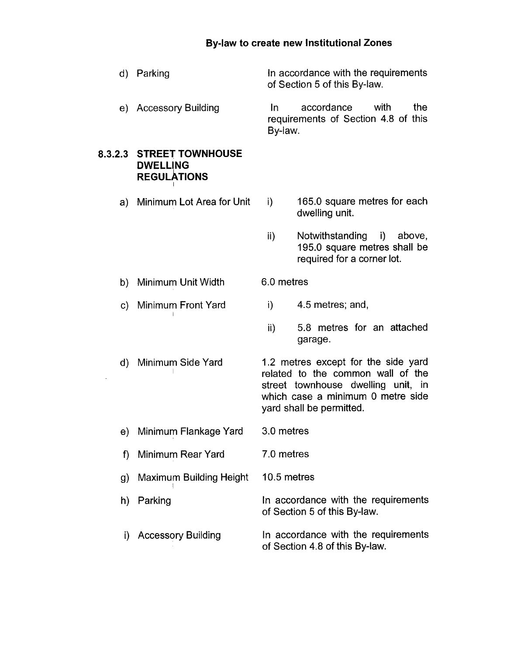- d) Parking In accordance with the requirements of Section 5 of this By-law.
- e) Accessory Building In accordance with the requirements of Section 4.8 of this Bv-law.

#### **8.3.2.3 STREET TOWNHOUSE DWELLING REGULATIONS**

- a) Minimum Lot Area for Unit i) 165.0 square metres for each dwelling unit.
	- ii) Notwithstanding i) above, 195.0 square metres shall be required for a corner lot.
- b) Minimum Unit Width 6.0 metres
- c) Minimum Front Yard i) 4.5 metres; and,
	- ii) 5.8 metres for an attached garage.
- d) Minimum Side Yard 1.2 metres except for the side yard related to the common wall of the street townhouse dwelling unit, in which case a minimum 0 metre side yard shall be permitted.
- e) Minimum Flankage Yard 3.0 metres
- f) Minimum Rear Yard 7.0 metres
- g) Maximum Building Height 10.5 metres
- h) Parking In accordance with the requirements of Section 5 of this By-law.
- i) Accessory Building In accordance with the requirements of Section 4.8 of this By-law.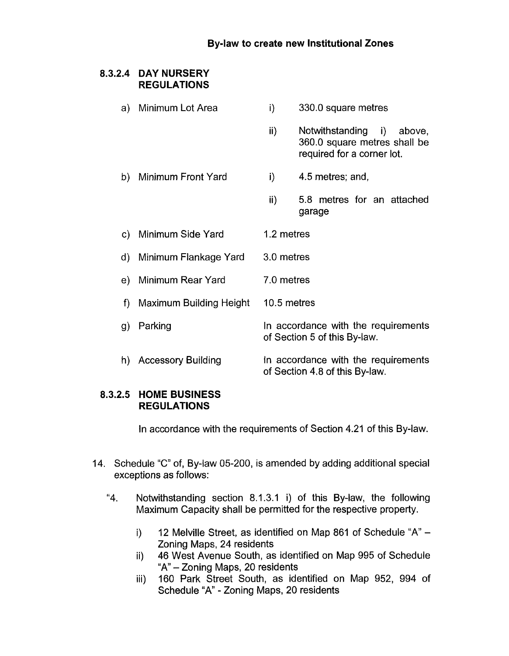# **8.3.2.4 DAY NURSERY REGULATIONS**

a) Minimum Lot Area i) 330.0 square metres ii) Notwithstanding i) above, 360.0 square metres shall be required for a corner lot. b) Minimum Front Yard i) 4.5 metres; and, ii) 5.8 metres for an attached garage c) Minimum Side Yard 1.2 metres d) Minimum Flankage Yard 3.0 metres e) Minimum Rear Yard 7.0 metres f) Maximum Building Height 10.5 metres g) Parking **In accordance with the requirements** of Section 5 of this By-law. h) Accessory Building **In accordance with the requirements** of Section 4.8 of this By-law.

## **8.3.2.5 HOME BUSINESS REGULATIONS**

In accordance with the requirements of Section 4.21 of this By-law.

- 14. Schedule "C" of, By-law 05-200, is amended by adding additional special exceptions as follows:
	- "4. Notwithstanding section 8.1.3.1 i) of this By-law, the following Maximum Capacity shall be permitted for the respective property.
		- i) 12 Melville Street, as identified on Map 861 of Schedule "A" - Zoning Maps, 24 residents
		- ii) 46 West Avenue South, as identified on Map 995 of Schedule "A" - Zoning Maps, 20 residents
		- iii) 160 Park Street South, as identified on Map 952, 994 of Schedule "A" - Zoning Maps, 20 residents